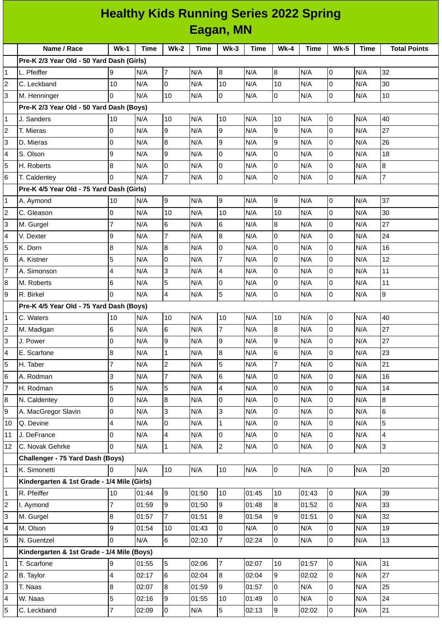| <b>Healthy Kids Running Series 2022 Spring</b> |                                             |                     |             |                                |             |                |             |                     |             |             |             |                          |
|------------------------------------------------|---------------------------------------------|---------------------|-------------|--------------------------------|-------------|----------------|-------------|---------------------|-------------|-------------|-------------|--------------------------|
|                                                | Eagan, MN                                   |                     |             |                                |             |                |             |                     |             |             |             |                          |
|                                                | Name / Race                                 | $Wk-1$              | <b>Time</b> | <b>Wk-2</b>                    | <b>Time</b> | $Wk-3$         | <b>Time</b> | $Wk-4$              | <b>Time</b> | <b>Wk-5</b> | <b>Time</b> | <b>Total Points</b>      |
|                                                | Pre-K 2/3 Year Old - 50 Yard Dash (Girls)   |                     |             |                                |             |                |             |                     |             |             |             |                          |
| $\mathbf{1}$                                   | L. Pfeiffer                                 | 9                   | N/A         | $\overline{7}$                 | N/A         | 8              | N/A         | 8                   | N/A         | l0          | N/A         | 32                       |
| $\overline{c}$                                 | C. Leckband                                 | 10                  | N/A         | 0                              | N/A         | 10             | N/A         | 10                  | N/A         | I٥          | N/A         | 30                       |
| 3                                              | M. Henninger                                | $\Omega$            | N/A         | 10                             | N/A         | $\overline{0}$ | N/A         | 0                   | N/A         | l0          | N/A         | 10                       |
|                                                | Pre-K 2/3 Year Old - 50 Yard Dash (Boys)    |                     |             |                                |             |                |             |                     |             |             |             |                          |
| 1                                              | J. Sanders                                  | 10                  | N/A         | 10                             | N/A         | 10             | N/A         | 10                  | N/A         | Iо          | N/A         | 40                       |
| $\overline{c}$                                 | T. Mieras                                   | 0                   | N/A         | 9                              | N/A         | 9              | N/A         | 9                   | N/A         | l0          | N/A         | 27                       |
| 3                                              | D. Mieras                                   | 0                   | N/A         | 8                              | N/A         | 9              | N/A         | 9                   | N/A         | I٥          | N/A         | 26                       |
| 4                                              | S. Olson                                    | 9                   | N/A         | 9                              | N/A         | $\Omega$       | N/A         | 0                   | N/A         | Iо          | N/A         | 18                       |
| 5                                              | H. Roberts                                  | 8                   | N/A         | 0                              | N/A         | 0              | N/A         | 0                   | N/A         | l0          | N/A         | $\, 8$                   |
| 6                                              | T. Caldentey                                | 0                   | N/A         | $\overline{7}$                 | N/A         | 0              | N/A         | 0                   | N/A         | I٥          | N/A         | $\overline{7}$           |
|                                                | Pre-K 4/5 Year Old - 75 Yard Dash (Girls)   |                     |             |                                |             |                |             |                     |             |             |             |                          |
| 1                                              | A. Aymond                                   | 10                  | N/A         | 9                              | N/A         | 9              | N/A         | 9                   | N/A         | l0          | N/A         | 37                       |
| $\overline{c}$                                 | C. Gleason                                  | 0                   | N/A         | 10                             | N/A         | 10             | N/A         | 10                  | N/A         | lo          | N/A         | 30                       |
| 3                                              | M. Gurgel                                   | $\overline{7}$      | N/A         | 6                              | N/A         | 6              | N/A         | 8                   | N/A         | l0          | N/A         | 27                       |
| 4                                              | V. Dexter                                   | 9                   | N/A         | $\overline{7}$                 | N/A         | 8              | N/A         | 0                   | N/A         | Iо          | N/A         | 24                       |
| 5                                              | K. Dorn                                     | 8                   | N/A         | 8                              | N/A         | 0              | N/A         | 0                   | N/A         | Iо          | N/A         | 16                       |
| 6                                              | A. Kistner                                  | 5                   | N/A         | 0                              | N/A         | $\overline{7}$ | N/A         | 0                   | N/A         | l0          | N/A         | 12                       |
| $\overline{7}$                                 | A. Simonson                                 | 4                   | N/A         | 3                              | N/A         | $\overline{4}$ | N/A         | 0                   | N/A         | I٥          | N/A         | 11                       |
| 8                                              | M. Roberts                                  | 6                   | N/A         | 5                              | N/A         | 0              | N/A         | 0                   | N/A         | Iо          | N/A         | 11                       |
| 9                                              | R. Birkel                                   | 0                   | N/A         | 4                              | N/A         | 5              | N/A         | 0                   | N/A         | l0          | N/A         | 9                        |
|                                                | Pre-K 4/5 Year Old - 75 Yard Dash (Boys)    |                     |             |                                |             |                |             |                     |             |             |             |                          |
| $\mathbf{1}$                                   | C. Waters                                   | 10                  | N/A         | $10\,$                         | N/A         | 10             | N/A         | 10                  | N/A         | 0           | N/A         | 40                       |
| $\overline{c}$                                 | M. Madigan                                  | 6                   | N/A         | 6                              | N/A         | $\overline{7}$ | N/A         | 8                   | N/A         | I٥          | N/A         | 27                       |
| 3                                              | J. Power                                    | 0                   | N/A         | 9                              | N/A         | 9              | N/A         | 9                   | N/A         | Iо          | N/A         | 27                       |
| 4                                              | E. Scarfone                                 | 8<br>$\overline{7}$ | N/A         | $\mathbf{1}$<br>$\overline{c}$ | N/A         | 8<br>5         | N/A         | 6<br>$\overline{7}$ | N/A         | l0<br>lo    | N/A         | 23                       |
| 5<br>6                                         | H. Taber<br>A. Rodman                       | 3                   | N/A<br>N/A  | $\overline{7}$                 | N/A<br>N/A  | 6              | N/A<br>N/A  | 0                   | N/A<br>N/A  | l0          | N/A<br>N/A  | 21<br>16                 |
| $\overline{\mathfrak{c}}$                      | H. Rodman                                   | 5                   | N/A         | 5                              | N/A         | 4              | N/A         | 0                   | N/A         | l0          | N/A         | 14                       |
| 8                                              | N. Caldentey                                | 0                   | N/A         | 8                              | N/A         | 0              | N/A         | 0                   | N/A         | lo          | N/A         | 8                        |
| 9                                              | A. MacGregor Slavin                         | 0                   | N/A         | 3                              | N/A         | 3              | N/A         | 0                   | N/A         | l0          | N/A         | 6                        |
| 10                                             | Q. Devine                                   | $\pmb{4}$           | N/A         | 0                              | N/A         | $\mathbf 1$    | N/A         | 0                   | N/A         | l0          | N/A         | 5                        |
| 11                                             | J. DeFrance                                 | 0                   | N/A         | 4                              | N/A         | 0              | N/A         | 0                   | N/A         | l0          | N/A         | $\overline{\mathcal{A}}$ |
| 12                                             | C. Novak Gehrke                             | 0                   | N/A         | $\mathbf{1}$                   | N/A         | $\mathbf{2}$   | N/A         | $\mathsf{O}$        | N/A         | l0          | N/A         | 3                        |
|                                                | Challenger - 75 Yard Dash (Boys)            |                     |             |                                |             |                |             |                     |             |             |             |                          |
| $\mathbf{1}$                                   | K. Simonetti                                | 0                   | N/A         | $10\,$                         | N/A         | $10\,$         | N/A         | 0                   | N/A         | O           | N/A         | 20                       |
|                                                | Kindergarten & 1st Grade - 1/4 Mile (Girls) |                     |             |                                |             |                |             |                     |             |             |             |                          |
| $\mathbf{1}$                                   | R. Pfeiffer                                 | 10                  | 01:44       | $\boldsymbol{9}$               | 01:50       | 10             | 01:45       | 10                  | 01:43       | l0          | N/A         | 39                       |
| $\overline{c}$                                 | I. Aymond                                   | $\overline{7}$      | 01:59       | 9                              | 01:50       | 9              | 01:48       | 8                   | 01:52       | l0          | N/A         | 33                       |
| 3                                              | M. Gurgel                                   | 8                   | 01:57       | $\overline{7}$                 | 01:51       | 8              | 01:54       | 9                   | 01:51       | 0           | N/A         | 32                       |
| 4                                              | M. Olson                                    | 9                   | 01:54       | $10\,$                         | 01:43       | 0              | N/A         | 0                   | N/A         | lo          | N/A         | 19                       |
| 5                                              | N. Guentzel                                 | 0                   | N/A         | $6\overline{6}$                | 02:10       | $\overline{7}$ | 02:24       | $\mathsf{O}$        | N/A         | l0          | N/A         | 13                       |
|                                                | Kindergarten & 1st Grade - 1/4 Mile (Boys)  |                     |             |                                |             |                |             |                     |             |             |             |                          |
| $\mathbf{1}$                                   | T. Scarfone                                 | 9                   | 01:55       | 5                              | 02:06       | $\overline{7}$ | 02:07       | 10                  | 01:57       | l0          | N/A         | 31                       |
| $\overline{c}$                                 | <b>B.</b> Taylor                            | 4                   | 02:17       | 6                              | 02:04       | 8              | 02:04       | 9                   | 02:02       | O           | N/A         | 27                       |
| 3                                              | T. Naas                                     | 8                   | 02:07       | 8                              | 01:59       | 9              | 01:57       | 0                   | N/A         | lo          | N/A         | 25                       |
| 4                                              | W. Naas                                     | 5                   | 02:16       | 9                              | 01:55       | $10\,$         | 01:49       | 0                   | N/A         | l0          | N/A         | 24                       |
| 5                                              | C. Leckband                                 | $\overline{7}$      | 02:09       | $\overline{0}$                 | N/A         | 5              | 02:13       | 9                   | 02:02       | 0           | N/A         | $21\,$                   |